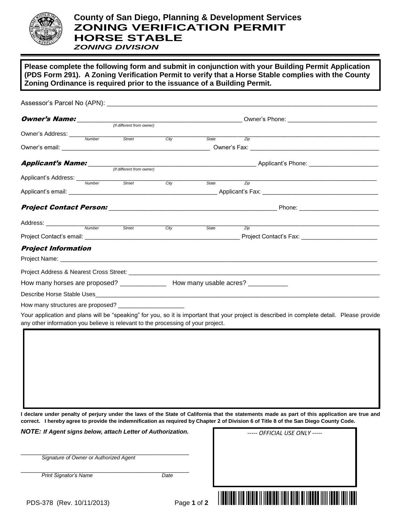

**Please complete the following form and submit in conjunction with your Building Permit Application (PDS Form 291). A Zoning Verification Permit to verify that a Horse Stable complies with the County Zoning Ordinance is required prior to the issuance of a Building Permit.** 

|                                                                                      | (If different from owner) |      |       |                   |                                                                                                                                                                                                                               |  |
|--------------------------------------------------------------------------------------|---------------------------|------|-------|-------------------|-------------------------------------------------------------------------------------------------------------------------------------------------------------------------------------------------------------------------------|--|
| Owner's Address: Number Street City                                                  |                           |      |       | $\overline{Z}$ ip | the control of the control of the control of the control of the control of the control of the control of the control of the control of the control of the control of the control of the control of the control of the control |  |
|                                                                                      |                           |      | State |                   |                                                                                                                                                                                                                               |  |
|                                                                                      |                           |      |       |                   |                                                                                                                                                                                                                               |  |
|                                                                                      |                           |      |       |                   | <b>Applicant's Name:</b> <i>If different from owner (If different from owner)</i> Applicant's Phone:                                                                                                                          |  |
|                                                                                      |                           |      |       |                   |                                                                                                                                                                                                                               |  |
| Applicant's Address: Wumber Street                                                   |                           |      |       |                   |                                                                                                                                                                                                                               |  |
|                                                                                      |                           | Citv | State | $\overline{Z}$ ip |                                                                                                                                                                                                                               |  |
|                                                                                      |                           |      |       |                   |                                                                                                                                                                                                                               |  |
|                                                                                      |                           |      |       |                   |                                                                                                                                                                                                                               |  |
| Address: <u>Number Street Street</u>                                                 |                           |      |       |                   | <u> 1980 - Andrea Stadt Britain, amerikansk politik (* 1908)</u>                                                                                                                                                              |  |
|                                                                                      |                           | Citv | State | $\overline{Z}$ ip |                                                                                                                                                                                                                               |  |
|                                                                                      |                           |      |       |                   |                                                                                                                                                                                                                               |  |
| <b>Project Information</b>                                                           |                           |      |       |                   |                                                                                                                                                                                                                               |  |
|                                                                                      |                           |      |       |                   |                                                                                                                                                                                                                               |  |
|                                                                                      |                           |      |       |                   |                                                                                                                                                                                                                               |  |
| How many horses are proposed? __________________ How many usable acres? ____________ |                           |      |       |                   |                                                                                                                                                                                                                               |  |
|                                                                                      |                           |      |       |                   |                                                                                                                                                                                                                               |  |
|                                                                                      |                           |      |       |                   |                                                                                                                                                                                                                               |  |
|                                                                                      |                           |      |       |                   | Your application and plans will be "speaking" for you, so it is important that your project is described in complete detail. Please provide                                                                                   |  |

**I declare under penalty of perjury under the laws of the State of California that the statements made as part of this application are true and correct. I hereby agree to provide the indemnification as required by Chapter 2 of Division 6 of Title 8 of the San Diego County Code.**

*NOTE: If Agent signs below, attach Letter of Authorization.*

\_\_\_\_\_\_\_\_\_\_\_\_\_\_\_\_\_\_\_\_\_\_\_\_\_\_\_\_\_\_\_\_\_\_\_\_\_\_\_\_\_\_\_\_\_\_\_\_\_\_\_

\_\_\_\_\_\_\_\_\_\_\_\_\_\_\_\_\_\_\_\_\_\_\_\_\_\_\_\_\_\_\_\_\_\_\_\_\_\_\_\_\_\_\_\_\_\_\_\_\_\_\_ **Print Signator's Name Date** 

any other information you believe is relevant to the processing of your project.

 *Signature of Owner or Authorized Agent* 

*----- OFFICIAL USE ONLY -----*